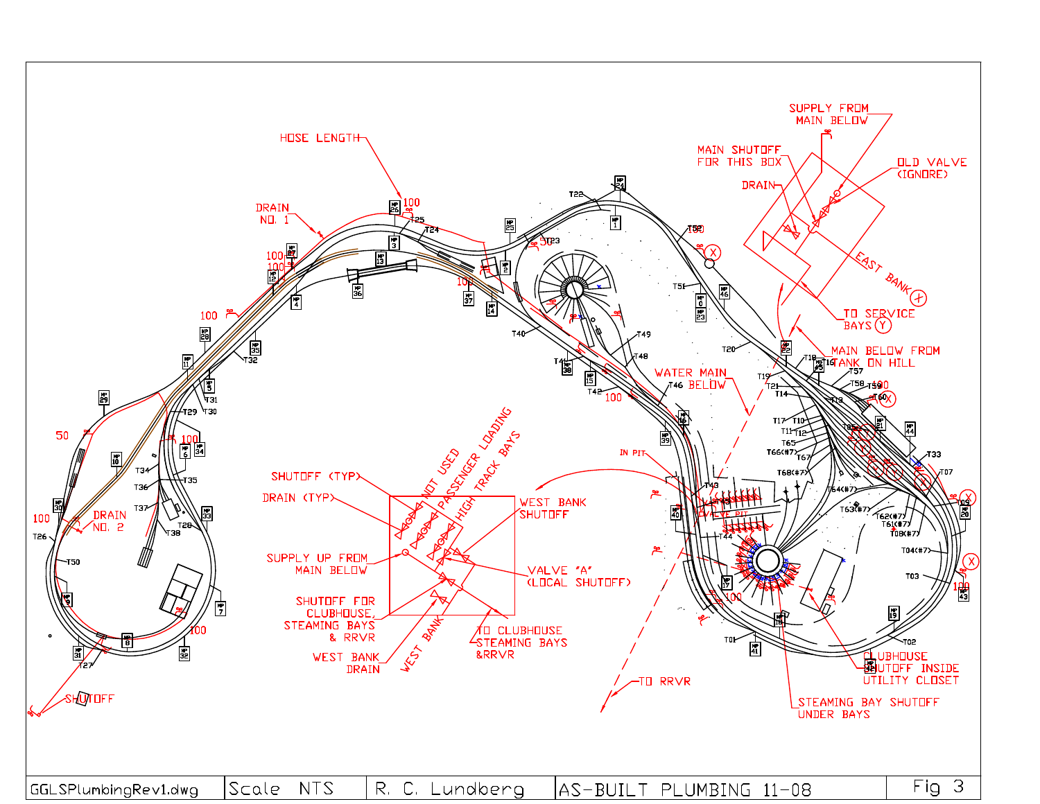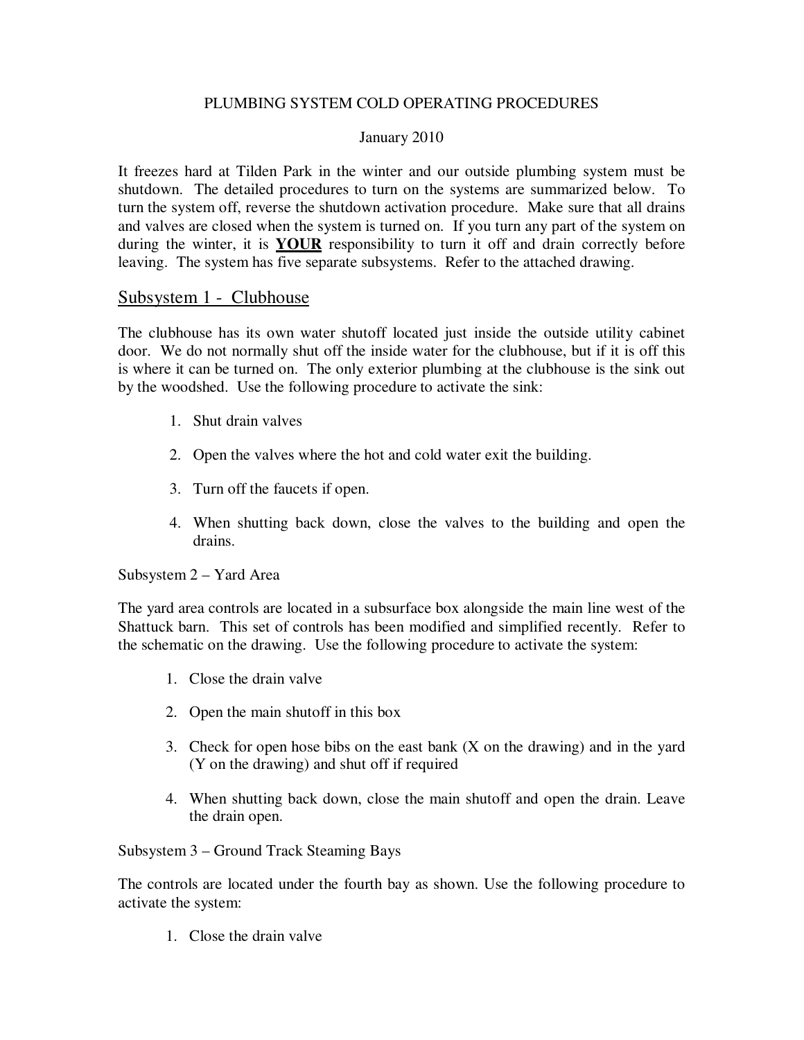## PLUMBING SYSTEM COLD OPERATING PROCEDURES

## January 2010

It freezes hard at Tilden Park in the winter and our outside plumbing system must be shutdown. The detailed procedures to turn on the systems are summarized below. To turn the system off, reverse the shutdown activation procedure. Make sure that all drains and valves are closed when the system is turned on. If you turn any part of the system on during the winter, it is **YOUR** responsibility to turn it off and drain correctly before leaving. The system has five separate subsystems. Refer to the attached drawing.

## Subsystem 1 - Clubhouse

The clubhouse has its own water shutoff located just inside the outside utility cabinet door. We do not normally shut off the inside water for the clubhouse, but if it is off this is where it can be turned on. The only exterior plumbing at the clubhouse is the sink out by the woodshed. Use the following procedure to activate the sink:

- 1. Shut drain valves
- 2. Open the valves where the hot and cold water exit the building.
- 3. Turn off the faucets if open.
- 4. When shutting back down, close the valves to the building and open the drains.

Subsystem 2 – Yard Area

The yard area controls are located in a subsurface box alongside the main line west of the Shattuck barn. This set of controls has been modified and simplified recently. Refer to the schematic on the drawing. Use the following procedure to activate the system:

- 1. Close the drain valve
- 2. Open the main shutoff in this box
- 3. Check for open hose bibs on the east bank (X on the drawing) and in the yard (Y on the drawing) and shut off if required
- 4. When shutting back down, close the main shutoff and open the drain. Leave the drain open.

Subsystem 3 – Ground Track Steaming Bays

The controls are located under the fourth bay as shown. Use the following procedure to activate the system:

1. Close the drain valve